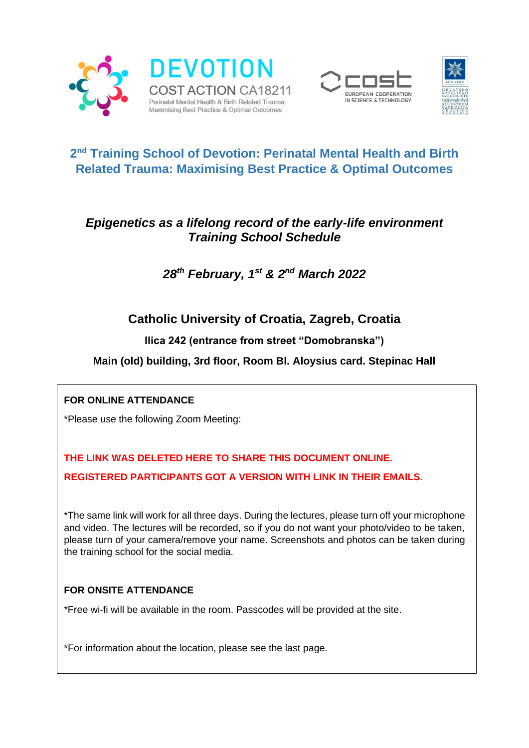





# **2 nd Training School of Devotion: Perinatal Mental Health and Birth Related Trauma: Maximising Best Practice & Optimal Outcomes**

## *Epigenetics as a lifelong record of the early-life environment Training School Schedule*

*28th February, 1st & 2nd March 2022*

# **Catholic University of Croatia, Zagreb, Croatia**

**Ilica 242 (entrance from street "Domobranska")**

## **Main (old) building, 3rd floor, Room Bl. Aloysius card. Stepinac Hall**

## **FOR ONLINE ATTENDANCE**

\*Please use the following Zoom Meeting:

# **THE LINK WAS DELETED HERE TO SHARE THIS DOCUMENT ONLINE. REGISTERED PARTICIPANTS GOT A VERSION WITH LINK IN THEIR EMAILS.**

\*The same link will work for all three days. During the lectures, please turn off your microphone and video. The lectures will be recorded, so if you do not want your photo/video to be taken, please turn of your camera/remove your name. Screenshots and photos can be taken during the training school for the social media.

## **FOR ONSITE ATTENDANCE**

\*Free wi-fi will be available in the room. Passcodes will be provided at the site.

\*For information about the location, please see the last page.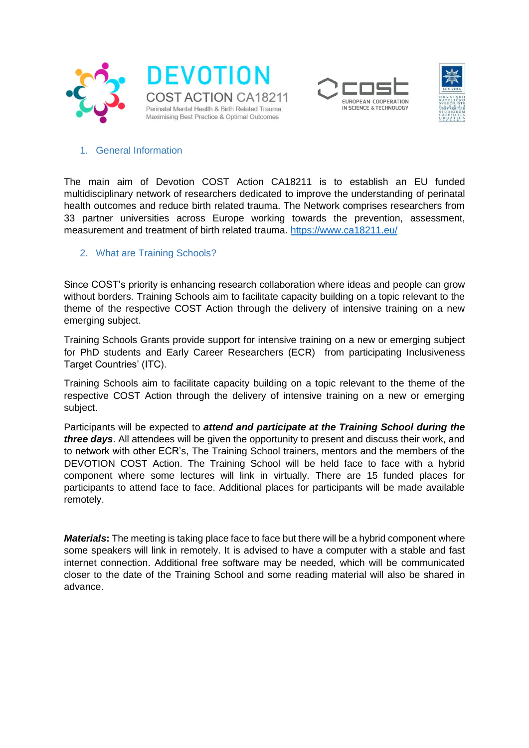





#### 1. General Information

The main aim of Devotion COST Action CA18211 is to establish an EU funded multidisciplinary network of researchers dedicated to improve the understanding of perinatal health outcomes and reduce birth related trauma. The Network comprises researchers from 33 partner universities across Europe working towards the prevention, assessment, measurement and treatment of birth related trauma.<https://www.ca18211.eu/>

#### 2. What are Training Schools?

Since COST's priority is enhancing research collaboration where ideas and people can grow without borders. Training Schools aim to facilitate capacity building on a topic relevant to the theme of the respective COST Action through the delivery of intensive training on a new emerging subject.

Training Schools Grants provide support for intensive training on a new or emerging subject for PhD students and Early Career Researchers (ECR) from participating Inclusiveness Target Countries' (ITC).

Training Schools aim to facilitate capacity building on a topic relevant to the theme of the respective COST Action through the delivery of intensive training on a new or emerging subject.

Participants will be expected to *attend and participate at the Training School during the three days*. All attendees will be given the opportunity to present and discuss their work, and to network with other ECR's, The Training School trainers, mentors and the members of the DEVOTION COST Action. The Training School will be held face to face with a hybrid component where some lectures will link in virtually. There are 15 funded places for participants to attend face to face. Additional places for participants will be made available remotely.

*Materials***:** The meeting is taking place face to face but there will be a hybrid component where some speakers will link in remotely. It is advised to have a computer with a stable and fast internet connection. Additional free software may be needed, which will be communicated closer to the date of the Training School and some reading material will also be shared in advance.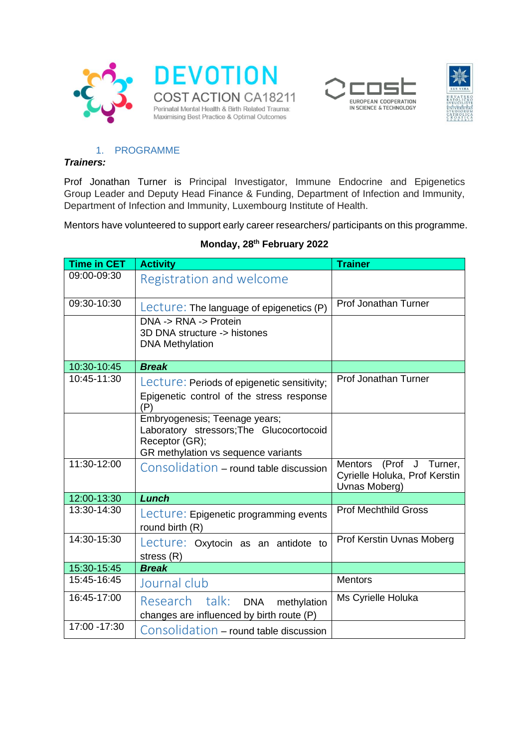





#### 1. PROGRAMME

#### *Trainers:*

Prof Jonathan Turner is Principal Investigator, Immune Endocrine and Epigenetics Group Leader and Deputy Head Finance & Funding, Department of Infection and Immunity, Department of Infection and Immunity, Luxembourg Institute of Health.

Mentors have volunteered to support early career researchers/ participants on this programme.

| <b>Time in CET</b> | <b>Activity</b>                                            | <b>Trainer</b>                                                            |
|--------------------|------------------------------------------------------------|---------------------------------------------------------------------------|
| 09:00-09:30        | Registration and welcome                                   |                                                                           |
| 09:30-10:30        | Lecture: The language of epigenetics (P)                   | Prof Jonathan Turner                                                      |
|                    | DNA -> RNA -> Protein                                      |                                                                           |
|                    | 3D DNA structure -> histones<br><b>DNA Methylation</b>     |                                                                           |
|                    |                                                            |                                                                           |
| 10:30-10:45        | <b>Break</b>                                               |                                                                           |
| 10:45-11:30        | Lecture: Periods of epigenetic sensitivity;                | Prof Jonathan Turner                                                      |
|                    | Epigenetic control of the stress response<br>(P)           |                                                                           |
|                    | Embryogenesis; Teenage years;                              |                                                                           |
|                    | Laboratory stressors; The Glucocortocoid<br>Receptor (GR); |                                                                           |
|                    | GR methylation vs sequence variants                        |                                                                           |
| 11:30-12:00        | Consolidation – round table discussion                     | Mentors (Prof J Turner,<br>Cyrielle Holuka, Prof Kerstin<br>Uvnas Moberg) |
| 12:00-13:30        | Lunch                                                      |                                                                           |
| 13:30-14:30        | Lecture: Epigenetic programming events<br>round birth (R)  | <b>Prof Mechthild Gross</b>                                               |
| 14:30-15:30        | Lecture: Oxytocin as an antidote to                        | Prof Kerstin Uvnas Moberg                                                 |
|                    | stress (R)                                                 |                                                                           |
| 15:30-15:45        | <b>Break</b>                                               |                                                                           |
| 15:45-16:45        | Journal club                                               | <b>Mentors</b>                                                            |
| 16:45-17:00        | Research talk: DNA<br>methylation                          | Ms Cyrielle Holuka                                                        |
|                    | changes are influenced by birth route (P)                  |                                                                           |
| 17:00 - 17:30      | Consolidation - round table discussion                     |                                                                           |

#### **Monday, 28th February 2022**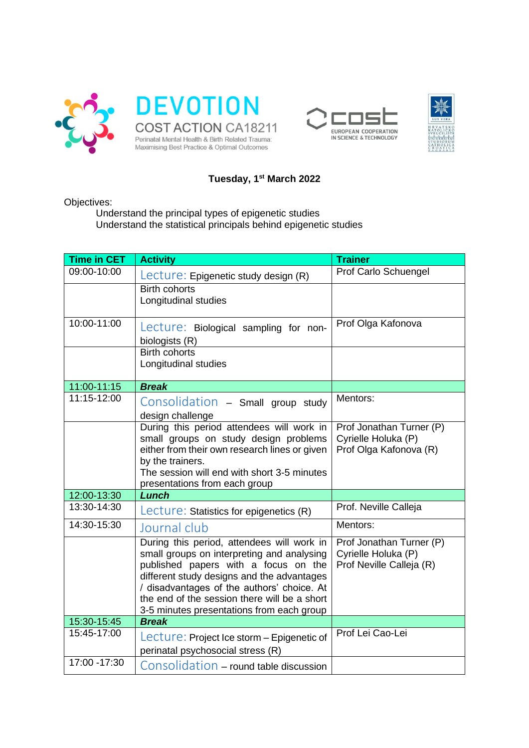





### **Tuesday, 1st March 2022**

Objectives:

Understand the principal types of epigenetic studies Understand the statistical principals behind epigenetic studies

| <b>Time in CET</b> | <b>Activity</b>                                                                                                                                                                                                                                                                                                           | <b>Trainer</b>                                                              |
|--------------------|---------------------------------------------------------------------------------------------------------------------------------------------------------------------------------------------------------------------------------------------------------------------------------------------------------------------------|-----------------------------------------------------------------------------|
| 09:00-10:00        | Lecture: Epigenetic study design (R)                                                                                                                                                                                                                                                                                      | Prof Carlo Schuengel                                                        |
|                    | <b>Birth cohorts</b><br>Longitudinal studies                                                                                                                                                                                                                                                                              |                                                                             |
| 10:00-11:00        | Lecture: Biological sampling for non-<br>biologists (R)                                                                                                                                                                                                                                                                   | Prof Olga Kafonova                                                          |
|                    | <b>Birth cohorts</b><br>Longitudinal studies                                                                                                                                                                                                                                                                              |                                                                             |
| 11:00-11:15        | <b>Break</b>                                                                                                                                                                                                                                                                                                              |                                                                             |
| 11:15-12:00        | Consolidation - Small group study<br>design challenge                                                                                                                                                                                                                                                                     | Mentors:                                                                    |
|                    | During this period attendees will work in<br>small groups on study design problems<br>either from their own research lines or given<br>by the trainers.<br>The session will end with short 3-5 minutes<br>presentations from each group                                                                                   | Prof Jonathan Turner (P)<br>Cyrielle Holuka (P)<br>Prof Olga Kafonova (R)   |
| 12:00-13:30        | Lunch                                                                                                                                                                                                                                                                                                                     |                                                                             |
| 13:30-14:30        | Lecture: Statistics for epigenetics (R)                                                                                                                                                                                                                                                                                   | Prof. Neville Calleja                                                       |
| 14:30-15:30        | Journal club                                                                                                                                                                                                                                                                                                              | Mentors:                                                                    |
|                    | During this period, attendees will work in<br>small groups on interpreting and analysing<br>published papers with a focus on the<br>different study designs and the advantages<br>/ disadvantages of the authors' choice. At<br>the end of the session there will be a short<br>3-5 minutes presentations from each group | Prof Jonathan Turner (P)<br>Cyrielle Holuka (P)<br>Prof Neville Calleja (R) |
| 15:30-15:45        | <b>Break</b>                                                                                                                                                                                                                                                                                                              |                                                                             |
| 15:45-17:00        | Lecture: Project Ice storm – Epigenetic of<br>perinatal psychosocial stress (R)                                                                                                                                                                                                                                           | Prof Lei Cao-Lei                                                            |
| 17:00 - 17:30      | Consolidation - round table discussion                                                                                                                                                                                                                                                                                    |                                                                             |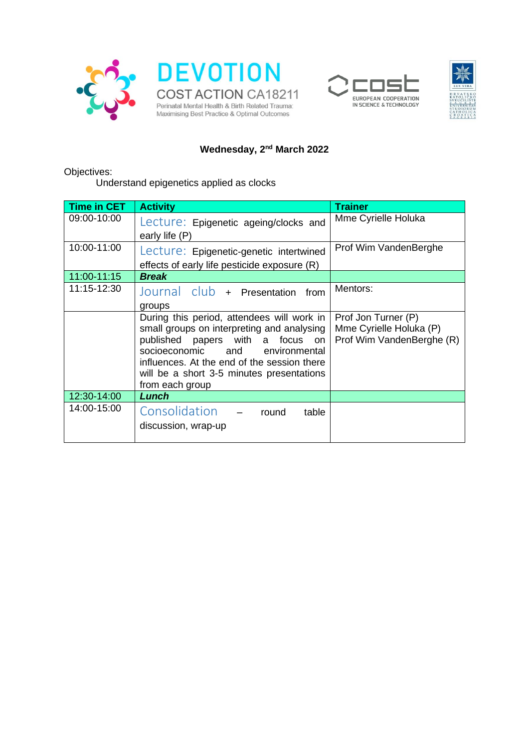





# **Wednesday, 2nd March 2022**

Objectives:

Understand epigenetics applied as clocks

| <b>Time in CET</b> | <b>Activity</b>                                                                                                                                                                                                                                                                   | <b>Trainer</b>                                                              |
|--------------------|-----------------------------------------------------------------------------------------------------------------------------------------------------------------------------------------------------------------------------------------------------------------------------------|-----------------------------------------------------------------------------|
| 09:00-10:00        | Lecture: Epigenetic ageing/clocks and<br>early life (P)                                                                                                                                                                                                                           | Mme Cyrielle Holuka                                                         |
| 10:00-11:00        | Lecture: Epigenetic-genetic intertwined<br>effects of early life pesticide exposure (R)                                                                                                                                                                                           | Prof Wim VandenBerghe                                                       |
| 11:00-11:15        | <b>Break</b>                                                                                                                                                                                                                                                                      |                                                                             |
| 11:15-12:30        | Journal club + Presentation from<br>groups                                                                                                                                                                                                                                        | Mentors:                                                                    |
|                    | During this period, attendees will work in<br>small groups on interpreting and analysing<br>published papers with a focus on<br>socioeconomic and<br>environmental<br>influences. At the end of the session there<br>will be a short 3-5 minutes presentations<br>from each group | Prof Jon Turner (P)<br>Mme Cyrielle Holuka (P)<br>Prof Wim VandenBerghe (R) |
| 12:30-14:00        | Lunch                                                                                                                                                                                                                                                                             |                                                                             |
| 14:00-15:00        | Consolidation - round<br>table<br>discussion, wrap-up                                                                                                                                                                                                                             |                                                                             |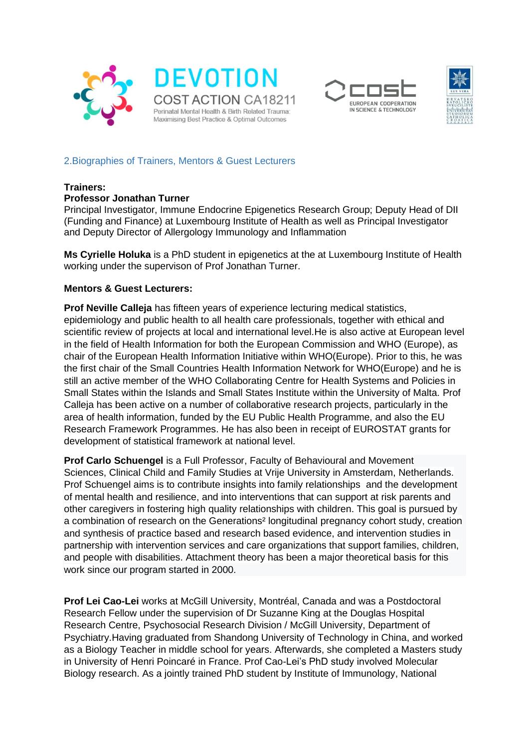





#### 2.Biographies of Trainers, Mentors & Guest Lecturers

#### **Trainers:**

#### **Professor Jonathan Turner**

Principal Investigator, Immune Endocrine Epigenetics Research Group; Deputy Head of DII (Funding and Finance) at Luxembourg Institute of Health as well as Principal Investigator and Deputy Director of Allergology Immunology and Inflammation

**Ms Cyrielle Holuka** is a PhD student in epigenetics at the at Luxembourg Institute of Health working under the supervison of Prof Jonathan Turner.

#### **Mentors & Guest Lecturers:**

**Prof Neville Calleja** has fifteen years of experience lecturing medical statistics, epidemiology and public health to all health care professionals, together with ethical and scientific review of projects at local and international level.He is also active at European level in the field of Health Information for both the European Commission and WHO (Europe), as chair of the European Health Information Initiative within WHO(Europe). Prior to this, he was the first chair of the Small Countries Health Information Network for WHO(Europe) and he is still an active member of the WHO Collaborating Centre for Health Systems and Policies in Small States within the Islands and Small States Institute within the University of Malta. Prof Calleja has been active on a number of collaborative research projects, particularly in the area of health information, funded by the EU Public Health Programme, and also the EU Research Framework Programmes. He has also been in receipt of EUROSTAT grants for development of statistical framework at national level.

**Prof Carlo Schuengel** is a Full Professor, [Faculty of Behavioural and Movement](https://research.vu.nl/en/organisations/faculty-of-behavioural-and-movement-sciences-2)  [Sciences,](https://research.vu.nl/en/organisations/faculty-of-behavioural-and-movement-sciences-2) [Clinical Child and Family Studies](https://research.vu.nl/en/organisations/clinical-child-and-family-studies-2) at Vrije University in Amsterdam, Netherlands. Prof Schuengel aims is to contribute insights into family relationships and the development of mental health and resilience, and into interventions that can support at risk parents and other caregivers in fostering high quality relationships with children. This goal is pursued by a combination of research on the Generations<sup>2</sup> longitudinal pregnancy cohort study, creation and synthesis of practice based and research based evidence, and intervention studies in partnership with intervention services and care organizations that support families, children, and people with disabilities. Attachment theory has been a major theoretical basis for this work since our program started in 2000.

**Prof Lei Cao-Lei** works at McGill University, Montréal, Canada and was a Postdoctoral Research Fellow under the supervision of Dr Suzanne King at the Douglas Hospital Research Centre, Psychosocial Research Division / McGill University, Department of Psychiatry.Having graduated from Shandong University of Technology in China, and worked as a Biology Teacher in middle school for years. Afterwards, she completed a Masters study in University of Henri Poincaré in France. Prof Cao-Lei's PhD study involved Molecular Biology research. As a jointly trained PhD student by Institute of Immunology, National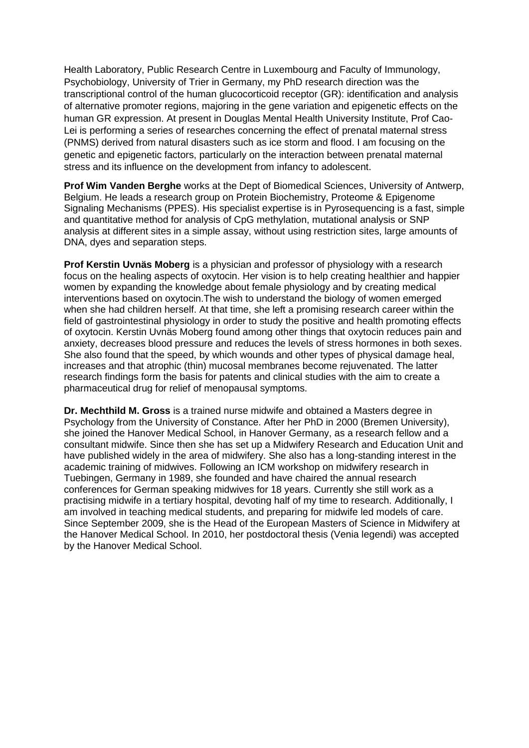Health Laboratory, Public Research Centre in Luxembourg and Faculty of Immunology, Psychobiology, University of Trier in Germany, my PhD research direction was the transcriptional control of the human glucocorticoid receptor (GR): identification and analysis of alternative promoter regions, majoring in the gene variation and epigenetic effects on the human GR expression. At present in Douglas Mental Health University Institute, Prof Cao-Lei is performing a series of researches concerning the effect of prenatal maternal stress (PNMS) derived from natural disasters such as ice storm and flood. I am focusing on the genetic and epigenetic factors, particularly on the interaction between prenatal maternal stress and its influence on the development from infancy to adolescent.

**Prof Wim Vanden Berghe** works at the Dept of Biomedical Sciences, University of Antwerp, Belgium. He leads a research group on [Protein Biochemistry, Proteome & Epigenome](https://www.uantwerpen.be/en/research-groups/proteinchemistry-proteomics-epigenet/)  [Signaling Mechanisms \(PPES\).](https://www.uantwerpen.be/en/research-groups/proteinchemistry-proteomics-epigenet/) His specialist expertise is in Pyrosequencing is a fast, simple and quantitative method for analysis of CpG methylation, mutational analysis or SNP analysis at different sites in a simple assay, without using restriction sites, large amounts of DNA, dyes and separation steps.

**Prof Kerstin Uvnäs Moberg** is a physician and professor of physiology with a research focus on the healing aspects of oxytocin. Her vision is to help creating healthier and happier women by expanding the knowledge about female physiology and by creating medical interventions based on oxytocin.The wish to understand the biology of women emerged when she had children herself. At that time, she left a promising research career within the field of gastrointestinal physiology in order to study the positive and health promoting effects of oxytocin. Kerstin Uvnäs Moberg found among other things that oxytocin reduces pain and anxiety, decreases blood pressure and reduces the levels of stress hormones in both sexes. She also found that the speed, by which wounds and other types of physical damage heal, increases and that atrophic (thin) mucosal membranes become rejuvenated. The latter research findings form the basis for patents and clinical studies with the aim to create a pharmaceutical drug for relief of menopausal symptoms.

**Dr. Mechthild M. Gross** is a trained nurse midwife and obtained a Masters degree in Psychology from the University of Constance. After her PhD in 2000 (Bremen University), she joined the Hanover Medical School, in Hanover Germany, as a research fellow and a consultant midwife. Since then she has set up a Midwifery Research and Education Unit and have published widely in the area of midwifery. She also has a long-standing interest in the academic training of midwives. Following an ICM workshop on midwifery research in Tuebingen, Germany in 1989, she founded and have chaired the annual research conferences for German speaking midwives for 18 years. Currently she still work as a practising midwife in a tertiary hospital, devoting half of my time to research. Additionally, I am involved in teaching medical students, and preparing for midwife led models of care. Since September 2009, she is the Head of the European Masters of Science in Midwifery at the Hanover Medical School. In 2010, her postdoctoral thesis (Venia legendi) was accepted by the Hanover Medical School.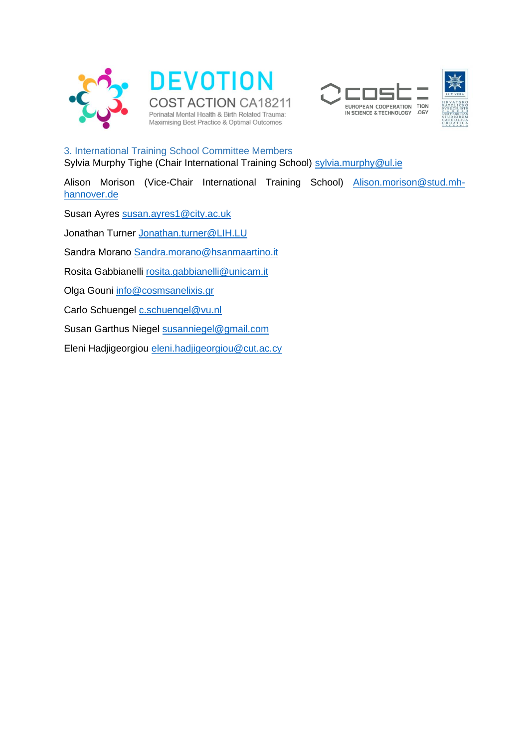







3. International Training School Committee Members Sylvia Murphy Tighe (Chair International Training School) [sylvia.murphy@ul.ie](mailto:sylvia.murphy@ul.ie)

Alison Morison (Vice-Chair International Training School) [Alison.morison@stud.mh](mailto:Alison.morison@stud.mh-hannover.de)[hannover.de](mailto:Alison.morison@stud.mh-hannover.de)

Susan Ayres [susan.ayres1@city.ac.uk](mailto:susan.ayres1@city.ac.uk)

Jonathan Turner [Jonathan.turner@LIH.LU](mailto:Jonathan.turner@LIH.LU)

Sandra Morano [Sandra.morano@hsanmaartino.it](mailto:Sandra.morano@hsanmaartino.it)

Rosita Gabbianelli [rosita.gabbianelli@unicam.it](mailto:rosita.gabbianelli@unicam.it)

Olga Gouni [info@cosmsanelixis.gr](mailto:info@cosmsanelixis.gr)

Carlo Schuengel [c.schuengel@vu.nl](mailto:c.schuengel@vu.nl)

Susan Garthus Niegel [susanniegel@gmail.com](mailto:susanniegel@gmail.com)

Eleni Hadjigeorgiou [eleni.hadjigeorgiou@cut.ac.cy](mailto:eleni.hadjigeorgiou@cut.ac.cy)